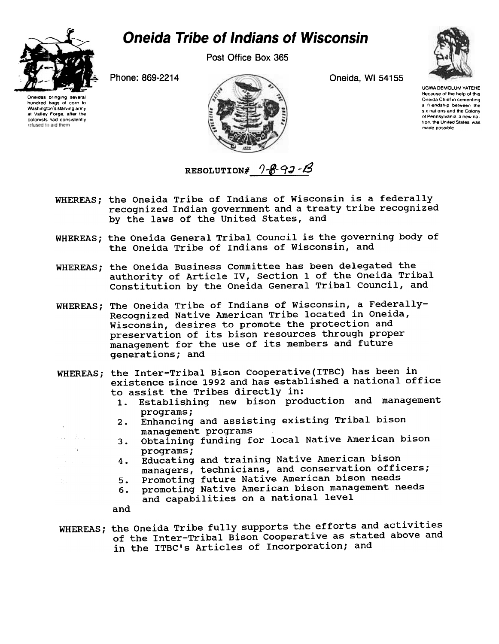

Post Office Box 365



hundred bags of corn to

Washington's starving army

at Valley Forge, after the

colonists had consistently

relused to aid them

Phone: 869-2214



Oneida, WI 54155



**UGWA DEMOLUM YATEHE** Because of the help of this Oneida Chief in cementing a friendship between the six nations and the Colony of Pennsylvania, a new nation, the United States, was made possible.

RESOLUTION#  $9 - 8 - 9 - 18$ 

- WHEREAS; the Oneida Tribe of Indians of Wisconsin is a federally recognized Indian government and a treaty tribe recognized by the laws of the United States, and
- WHEREAS; the Oneida General Tribal Council is the governing body of the Oneida Tribe of Indians of Wisconsin, and
- WHEREAS; the Oneida Business Committee has been delegated the authority of Article IV, Section 1 of the Oneida Tribal Constitution by the Oneida General Tribal Council, and
- WHEREAS; The Oneida Tribe of Indians of Wisconsin, a Federally-Recognized Native American Tribe located in Oneida, Wisconsin, desires to promote the protection and preservation of its bison resources through proper management for the use of its members and future generations; and
- WHEREAS; the Inter-Tribal Bison Cooperative (ITBC) has been in existence since 1992 and has established a national office to assist the Tribes directly in:
	- Establishing new bison production and management  $1.$ programs;
	- Enhancing and assisting existing Tribal bison  $2.$ management programs
	- Obtaining funding for local Native American bison  $3.$ programs;
	- Educating and training Native American bison 4. managers, technicians, and conservation officers;
	- Promoting future Native American bison needs  $5.$
	- promoting Native American bison management needs 6. and capabilities on a national level

and

WHEREAS; the Oneida Tribe fully supports the efforts and activities of the Inter-Tribal Bison Cooperative as stated above and in the ITBC's Articles of Incorporation; and